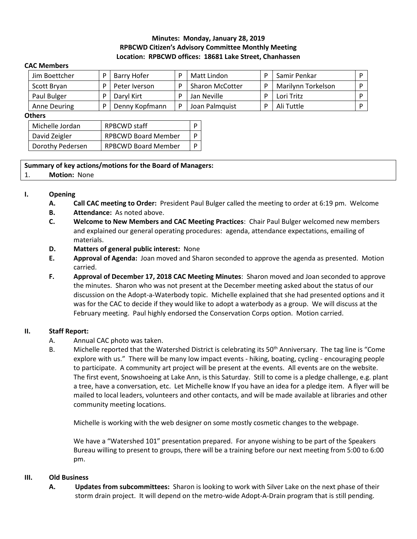# **Minutes: Monday, January 28, 2019 RPBCWD Citizen's Advisory Committee Monthly Meeting Location: RPBCWD offices: 18681 Lake Street, Chanhassen**

#### **CAC Members**

| Jim Boettcher | Barry Hofer    | D | Matt Lindon            |   | Samir Penkar       |  |
|---------------|----------------|---|------------------------|---|--------------------|--|
| Scott Bryan   | Peter Iverson  |   | <b>Sharon McCotter</b> | D | Marilynn Torkelson |  |
| Paul Bulger   | Daryl Kirt     |   | Jan Neville            | D | Lori Tritz         |  |
| Anne Deuring  | Denny Kopfmann |   | Joan Palmquist         |   | Ali Tuttle         |  |

#### **Others**

| Michelle Jordan  | <b>RPBCWD</b> staff        |  |  |
|------------------|----------------------------|--|--|
| David Zeigler    | <b>RPBCWD Board Member</b> |  |  |
| Dorothy Pedersen | <b>RPBCWD Board Member</b> |  |  |

## **Summary of key actions/motions for the Board of Managers:**

## 1. **Motion:** None

# **I. Opening**

- **A. Call CAC meeting to Order:** President Paul Bulger called the meeting to order at 6:19 pm. Welcome
- **B. Attendance:** As noted above.
- **C. Welcome to New Members and CAC Meeting Practices**: Chair Paul Bulger welcomed new members and explained our general operating procedures: agenda, attendance expectations, emailing of materials.
- **D. Matters of general public interest:** None
- **E. Approval of Agenda:** Joan moved and Sharon seconded to approve the agenda as presented. Motion carried.
- **F. Approval of December 17, 2018 CAC Meeting Minutes**: Sharon moved and Joan seconded to approve the minutes. Sharon who was not present at the December meeting asked about the status of our discussion on the Adopt-a-Waterbody topic. Michelle explained that she had presented options and it was for the CAC to decide if they would like to adopt a waterbody as a group. We will discuss at the February meeting. Paul highly endorsed the Conservation Corps option. Motion carried.

# **II. Staff Report:**

- A. Annual CAC photo was taken.
- B. Michelle reported that the Watershed District is celebrating its 50<sup>th</sup> Anniversary. The tag line is "Come explore with us." There will be many low impact events - hiking, boating, cycling - encouraging people to participate. A community art project will be present at the events. All events are on the website. The first event, Snowshoeing at Lake Ann, is this Saturday. Still to come is a pledge challenge, e.g. plant a tree, have a conversation, etc. Let Michelle know If you have an idea for a pledge item. A flyer will be mailed to local leaders, volunteers and other contacts, and will be made available at libraries and other community meeting locations.

Michelle is working with the web designer on some mostly cosmetic changes to the webpage.

We have a "Watershed 101" presentation prepared. For anyone wishing to be part of the Speakers Bureau willing to present to groups, there will be a training before our next meeting from 5:00 to 6:00 pm.

# **III. Old Business**

**A. Updates from subcommittees:** Sharon is looking to work with Silver Lake on the next phase of their storm drain project. It will depend on the metro-wide Adopt-A-Drain program that is still pending.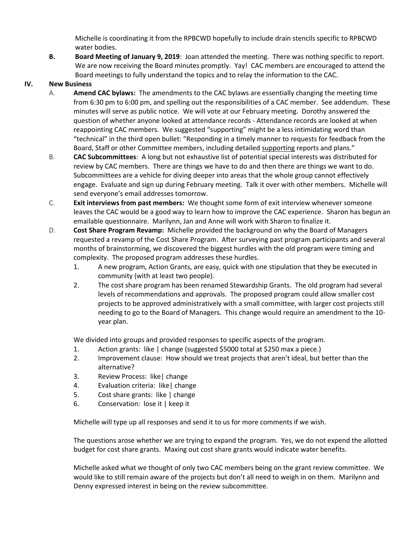Michelle is coordinating it from the RPBCWD hopefully to include drain stencils specific to RPBCWD water bodies.

**B. Board Meeting of January 9, 2019**: Joan attended the meeting. There was nothing specific to report. We are now receiving the Board minutes promptly. Yay! CAC members are encouraged to attend the Board meetings to fully understand the topics and to relay the information to the CAC.

## **IV. New Business**

- A. **Amend CAC bylaws:** The amendments to the CAC bylaws are essentially changing the meeting time from 6:30 pm to 6:00 pm, and spelling out the responsibilities of a CAC member. See addendum. These minutes will serve as public notice. We will vote at our February meeting. Dorothy answered the question of whether anyone looked at attendance records - Attendance records are looked at when reappointing CAC members. We suggested "supporting" might be a less intimidating word than "technical" in the third open bullet: "Responding in a timely manner to requests for feedback from the Board, Staff or other Committee members, including detailed supporting reports and plans."
- B. **CAC Subcommittees**: A long but not exhaustive list of potential special interests was distributed for review by CAC members. There are things we have to do and then there are things we want to do. Subcommittees are a vehicle for diving deeper into areas that the whole group cannot effectively engage. Evaluate and sign up during February meeting. Talk it over with other members. Michelle will send everyone's email addresses tomorrow.
- C. **Exit interviews from past members:** We thought some form of exit interview whenever someone leaves the CAC would be a good way to learn how to improve the CAC experience. Sharon has begun an emailable questionnaire. Marilynn, Jan and Anne will work with Sharon to finalize it.
- D. **Cost Share Program Revamp:** Michelle provided the background on why the Board of Managers requested a revamp of the Cost Share Program. After surveying past program participants and several months of brainstorming, we discovered the biggest hurdles with the old program were timing and complexity. The proposed program addresses these hurdles.
	- 1. A new program, Action Grants, are easy, quick with one stipulation that they be executed in community (with at least two people).
	- 2. The cost share program has been renamed Stewardship Grants. The old program had several levels of recommendations and approvals. The proposed program could allow smaller cost projects to be approved administratively with a small committee, with larger cost projects still needing to go to the Board of Managers. This change would require an amendment to the 10 year plan.

We divided into groups and provided responses to specific aspects of the program.

- 1. Action grants: like | change (suggested \$5000 total at \$250 max a piece.)
- 2. Improvement clause: How should we treat projects that aren't ideal, but better than the alternative?
- 3. Review Process: like| change
- 4. Evaluation criteria: like| change
- 5. Cost share grants: like | change
- 6. Conservation: lose it | keep it

Michelle will type up all responses and send it to us for more comments if we wish.

The questions arose whether we are trying to expand the program. Yes, we do not expend the allotted budget for cost share grants. Maxing out cost share grants would indicate water benefits.

Michelle asked what we thought of only two CAC members being on the grant review committee. We would like to still remain aware of the projects but don't all need to weigh in on them. Marilynn and Denny expressed interest in being on the review subcommittee.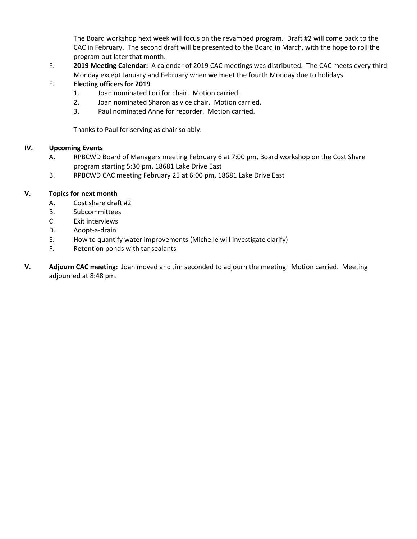The Board workshop next week will focus on the revamped program. Draft #2 will come back to the CAC in February. The second draft will be presented to the Board in March, with the hope to roll the program out later that month.

E. **2019 Meeting Calendar:** A calendar of 2019 CAC meetings was distributed. The CAC meets every third Monday except January and February when we meet the fourth Monday due to holidays.

# F. **Electing officers for 2019**

- 1. Joan nominated Lori for chair. Motion carried.
- 2. Joan nominated Sharon as vice chair. Motion carried.
- 3. Paul nominated Anne for recorder. Motion carried.

Thanks to Paul for serving as chair so ably.

### **IV. Upcoming Events**

- A. RPBCWD Board of Managers meeting February 6 at 7:00 pm, Board workshop on the Cost Share program starting 5:30 pm, 18681 Lake Drive East
- B. RPBCWD CAC meeting February 25 at 6:00 pm, 18681 Lake Drive East

## **V. Topics for next month**

- A. Cost share draft #2
- B. Subcommittees
- C. Exit interviews
- D. Adopt-a-drain
- E. How to quantify water improvements (Michelle will investigate clarify)
- F. Retention ponds with tar sealants
- **V. Adjourn CAC meeting:** Joan moved and Jim seconded to adjourn the meeting.Motion carried. Meeting adjourned at 8:48 pm.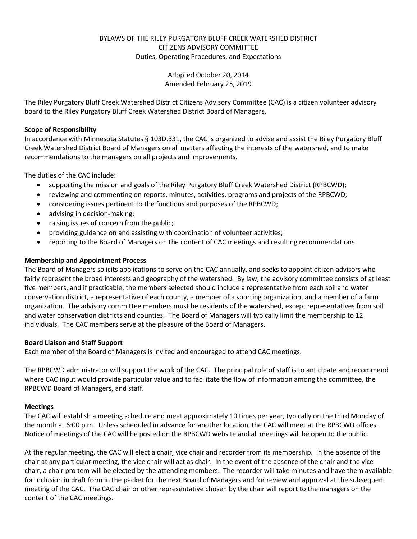## BYLAWS OF THE RILEY PURGATORY BLUFF CREEK WATERSHED DISTRICT CITIZENS ADVISORY COMMITTEE Duties, Operating Procedures, and Expectations

Adopted October 20, 2014 Amended February 25, 2019

The Riley Purgatory Bluff Creek Watershed District Citizens Advisory Committee (CAC) is a citizen volunteer advisory board to the Riley Purgatory Bluff Creek Watershed District Board of Managers.

### **Scope of Responsibility**

In accordance with Minnesota Statutes § 103D.331, the CAC is organized to advise and assist the Riley Purgatory Bluff Creek Watershed District Board of Managers on all matters affecting the interests of the watershed, and to make recommendations to the managers on all projects and improvements.

The duties of the CAC include:

- supporting the mission and goals of the Riley Purgatory Bluff Creek Watershed District (RPBCWD);
- reviewing and commenting on reports, minutes, activities, programs and projects of the RPBCWD;
- considering issues pertinent to the functions and purposes of the RPBCWD;
- advising in decision-making;
- raising issues of concern from the public;
- providing guidance on and assisting with coordination of volunteer activities;
- reporting to the Board of Managers on the content of CAC meetings and resulting recommendations.

### **Membership and Appointment Process**

The Board of Managers solicits applications to serve on the CAC annually, and seeks to appoint citizen advisors who fairly represent the broad interests and geography of the watershed. By law, the advisory committee consists of at least five members, and if practicable, the members selected should include a representative from each soil and water conservation district, a representative of each county, a member of a sporting organization, and a member of a farm organization. The advisory committee members must be residents of the watershed, except representatives from soil and water conservation districts and counties. The Board of Managers will typically limit the membership to 12 individuals. The CAC members serve at the pleasure of the Board of Managers.

### **Board Liaison and Staff Support**

Each member of the Board of Managers is invited and encouraged to attend CAC meetings.

The RPBCWD administrator will support the work of the CAC. The principal role of staff is to anticipate and recommend where CAC input would provide particular value and to facilitate the flow of information among the committee, the RPBCWD Board of Managers, and staff.

#### **Meetings**

The CAC will establish a meeting schedule and meet approximately 10 times per year, typically on the third Monday of the month at 6:00 p.m. Unless scheduled in advance for another location, the CAC will meet at the RPBCWD offices. Notice of meetings of the CAC will be posted on the RPBCWD website and all meetings will be open to the public.

At the regular meeting, the CAC will elect a chair, vice chair and recorder from its membership. In the absence of the chair at any particular meeting, the vice chair will act as chair. In the event of the absence of the chair and the vice chair, a chair pro tem will be elected by the attending members. The recorder will take minutes and have them available for inclusion in draft form in the packet for the next Board of Managers and for review and approval at the subsequent meeting of the CAC. The CAC chair or other representative chosen by the chair will report to the managers on the content of the CAC meetings.